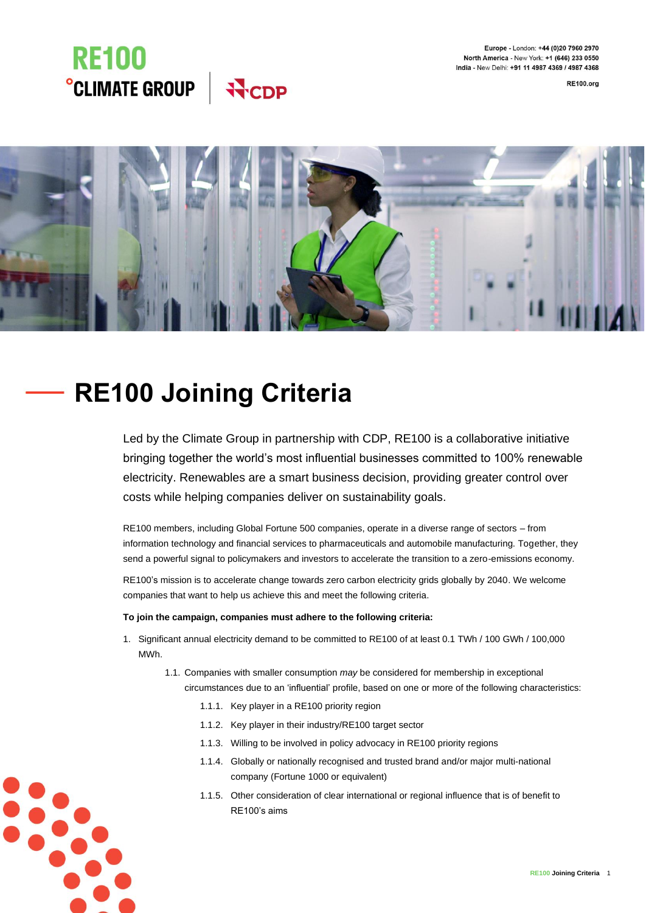Europe - London: +44 (0)20 7960 2970 North America - New York: +1 (646) 233 0550 India - New Delhi: +91 11 4987 4369 / 4987 4368

**RE100.org** 





# **RE100 Joining Criteria**

Led by the Climate Group in partnership with CDP, RE100 is a collaborative initiative bringing together the world's most influential businesses committed to 100% renewable electricity. Renewables are a smart business decision, providing greater control over costs while helping companies deliver on sustainability goals.

RE100 members, including Global Fortune 500 companies, operate in a diverse range of sectors – from information technology and financial services to pharmaceuticals and automobile manufacturing. Together, they send a powerful signal to policymakers and investors to accelerate the transition to a zero-emissions economy.

RE100's mission is to accelerate change towards zero carbon electricity grids globally by 2040. We welcome companies that want to help us achieve this and meet the following criteria.

# **To join the campaign, companies must adhere to the following criteria:**

- 1. Significant annual electricity demand to be committed to RE100 of at least 0.1 TWh / 100 GWh / 100,000 MWh.
	- 1.1. Companies with smaller consumption *may* be considered for membership in exceptional circumstances due to an 'influential' profile, based on one or more of the following characteristics:
		- 1.1.1. Key player in a RE100 priority region
		- 1.1.2. Key player in their industry/RE100 target sector
		- 1.1.3. Willing to be involved in policy advocacy in RE100 priority regions
		- 1.1.4. Globally or nationally recognised and trusted brand and/or major multi-national company (Fortune 1000 or equivalent)
		- 1.1.5. Other consideration of clear international or regional influence that is of benefit to RE100's aims

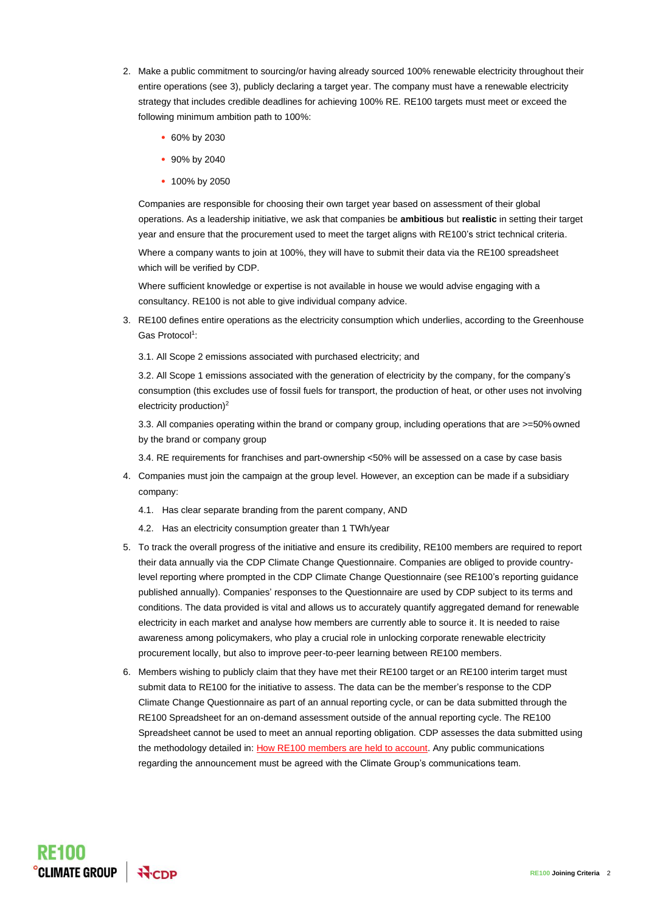- 2. Make a public commitment to sourcing/or having already sourced 100% renewable electricity throughout their entire operations (see 3), publicly declaring a target year. The company must have a renewable electricity strategy that includes credible deadlines for achieving 100% RE. RE100 targets must meet or exceed the following minimum ambition path to 100%:
	- 60% by 2030
	- 90% by 2040
	- 100% by 2050

Companies are responsible for choosing their own target year based on assessment of their global operations. As a leadership initiative, we ask that companies be **ambitious** but **realistic** in setting their target year and ensure that the procurement used to meet the target aligns with RE100's strict technical criteria.

Where a company wants to join at 100%, they will have to submit their data via the RE100 spreadsheet which will be verified by CDP.

Where sufficient knowledge or expertise is not available in house we would advise engaging with a consultancy. RE100 is not able to give individual company advice.

- 3. RE100 defines entire operations as the electricity consumption which underlies, according to the Greenhouse Gas Protocol<sup>1</sup>:
	- 3.1. All Scope 2 emissions associated with purchased electricity; and

3.2. All Scope 1 emissions associated with the generation of electricity by the company, for the company's consumption (this excludes use of fossil fuels for transport, the production of heat, or other uses not involving electricity production)<sup>2</sup>

3.3. All companies operating within the brand or company group, including operations that are >=50%owned by the brand or company group

3.4. RE requirements for franchises and part-ownership <50% will be assessed on a case by case basis

- 4. Companies must join the campaign at the group level. However, an exception can be made if a subsidiary company:
	- 4.1. Has clear separate branding from the parent company, AND
	- 4.2. Has an electricity consumption greater than 1 TWh/year
- 5. To track the overall progress of the initiative and ensure its credibility, RE100 members are required to report their data annually via the CDP Climate Change Questionnaire. Companies are obliged to provide countrylevel reporting where prompted in the CDP Climate Change Questionnaire (see RE100's reporting guidance published annually). Companies' responses to the Questionnaire are used by CDP subject to its terms and conditions. The data provided is vital and allows us to accurately quantify aggregated demand for renewable electricity in each market and analyse how members are currently able to source it. It is needed to raise awareness among policymakers, who play a crucial role in unlocking corporate renewable electricity procurement locally, but also to improve peer-to-peer learning between RE100 members.
- 6. Members wishing to publicly claim that they have met their RE100 target or an RE100 interim target must submit data to RE100 for the initiative to assess. The data can be the member's response to the CDP Climate Change Questionnaire as part of an annual reporting cycle, or can be data submitted through the RE100 Spreadsheet for an on-demand assessment outside of the annual reporting cycle. The RE100 Spreadsheet cannot be used to meet an annual reporting obligation. CDP assesses the data submitted using the methodology detailed in: [How RE100 members are held to account.](https://www.there100.org/sites/re100/files/2022-03/How%20RE100%20members%20are%20held%20to%20account_1.pdf) Any public communications regarding the announcement must be agreed with the Climate Group's communications team.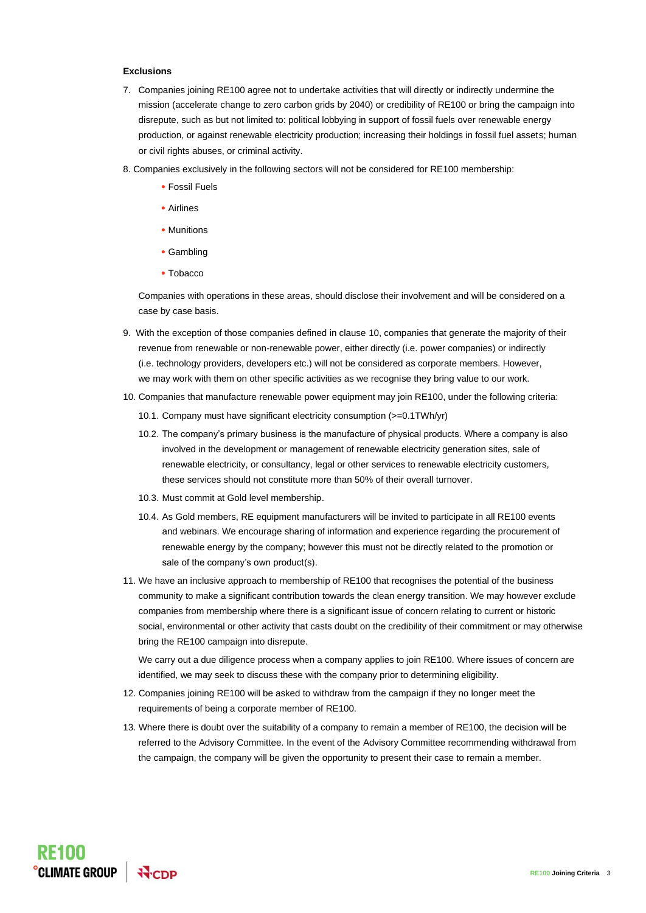## **Exclusions**

- 7. Companies joining RE100 agree not to undertake activities that will directly or indirectly undermine the mission (accelerate change to zero carbon grids by 2040) or credibility of RE100 or bring the campaign into disrepute, such as but not limited to: political lobbying in support of fossil fuels over renewable energy production, or against renewable electricity production; increasing their holdings in fossil fuel assets; human or civil rights abuses, or criminal activity.
- 8. Companies exclusively in the following sectors will not be considered for RE100 membership:
	- Fossil Fuels
	- Airlines
	- Munitions
	- Gambling
	- Tobacco

Companies with operations in these areas, should disclose their involvement and will be considered on a case by case basis.

- 9. With the exception of those companies defined in clause 10, companies that generate the majority of their revenue from renewable or non-renewable power, either directly (i.e. power companies) or indirectly (i.e. technology providers, developers etc.) will not be considered as corporate members. However, we may work with them on other specific activities as we recognise they bring value to our work.
- 10. Companies that manufacture renewable power equipment may join RE100, under the following criteria:
	- 10.1. Company must have significant electricity consumption (>=0.1TWh/yr)
	- 10.2. The company's primary business is the manufacture of physical products. Where a company is also involved in the development or management of renewable electricity generation sites, sale of renewable electricity, or consultancy, legal or other services to renewable electricity customers, these services should not constitute more than 50% of their overall turnover.
	- 10.3. Must commit at Gold level membership.
	- 10.4. As Gold members, RE equipment manufacturers will be invited to participate in all RE100 events and webinars. We encourage sharing of information and experience regarding the procurement of renewable energy by the company; however this must not be directly related to the promotion or sale of the company's own product(s).
- 11. We have an inclusive approach to membership of RE100 that recognises the potential of the business community to make a significant contribution towards the clean energy transition. We may however exclude companies from membership where there is a significant issue of concern relating to current or historic social, environmental or other activity that casts doubt on the credibility of their commitment or may otherwise bring the RE100 campaign into disrepute.

We carry out a due diligence process when a company applies to join RE100. Where issues of concern are identified, we may seek to discuss these with the company prior to determining eligibility.

- 12. Companies joining RE100 will be asked to withdraw from the campaign if they no longer meet the requirements of being a corporate member of RE100.
- 13. Where there is doubt over the suitability of a company to remain a member of RE100, the decision will be referred to the Advisory Committee. In the event of the Advisory Committee recommending withdrawal from the campaign, the company will be given the opportunity to present their case to remain a member.